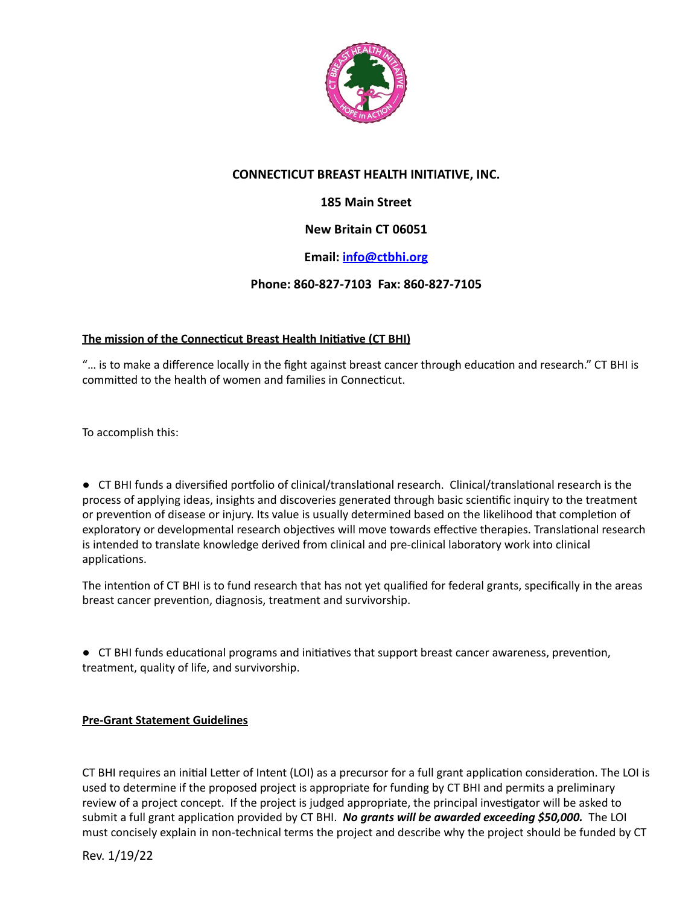

## **CONNECTICUT BREAST HEALTH INITIATIVE, INC.**

# **185 Main Street**

## **New Britain CT 06051**

### **Email: [info@ctbhi.org](mailto:info@ctbhi.org)**

### **Phone: 860-827-7103 Fax: 860-827-7105**

#### **The mission of the Connecticut Breast Health Initiative (CT BHI)**

"... is to make a difference locally in the fight against breast cancer through education and research." CT BHI is committed to the health of women and families in Connecticut.

To accomplish this:

● CT BHI funds a diversified portfolio of clinical/translational research. Clinical/translational research is the process of applying ideas, insights and discoveries generated through basic scientific inquiry to the treatment or prevention of disease or injury. Its value is usually determined based on the likelihood that completion of exploratory or developmental research objectives will move towards effective therapies. Translational research is intended to translate knowledge derived from clinical and pre-clinical laboratory work into clinical applications.

The intention of CT BHI is to fund research that has not yet qualified for federal grants, specifically in the areas breast cancer prevention, diagnosis, treatment and survivorship.

● CT BHI funds educational programs and initiatives that support breast cancer awareness, prevention, treatment, quality of life, and survivorship.

#### **Pre-Grant Statement Guidelines**

CT BHI requires an initial Letter of Intent (LOI) as a precursor for a full grant application consideration. The LOI is used to determine if the proposed project is appropriate for funding by CT BHI and permits a preliminary review of a project concept. If the project is judged appropriate, the principal investigator will be asked to submit a full grant application provided by CT BHI. *No grants will be awarded exceeding \$50,000*. The LOI must concisely explain in non-technical terms the project and describe why the project should be funded by CT